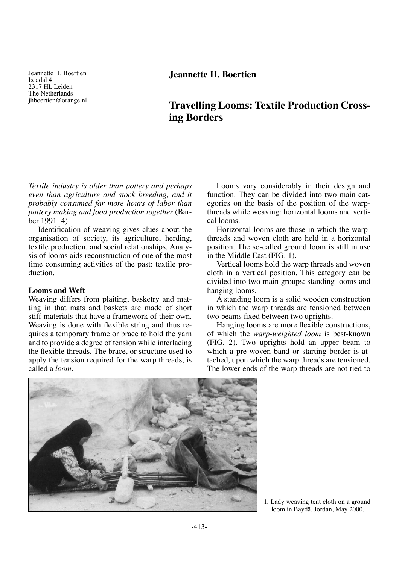Jeannette H. Boertien Ixiadal 4 2317 HL Leiden The Netherlands jhboertien@orange.nl

# **Jeannette H. Boertien**

# **Travelling Looms: Textile Production Crossing Borders**

*Textile industry is older than pottery and perhaps even than agriculture and stock breeding, and it probably consumed far more hours of labor than pottery making and food production together* (Barber 1991: 4).

Identification of weaving gives clues about the organisation of society, its agriculture, herding, textile production, and social relationships. Analysis of looms aids reconstruction of one of the most time consuming activities of the past: textile production.

## **Looms and Weft**

Weaving differs from plaiting, basketry and matting in that mats and baskets are made of short stiff materials that have a framework of their own. Weaving is done with flexible string and thus requires a temporary frame or brace to hold the yarn and to provide a degree of tension while interlacing the flexible threads. The brace, or structure used to apply the tension required for the warp threads, is called a *loom*.

Looms vary considerably in their design and function. They can be divided into two main categories on the basis of the position of the warpthreads while weaving: horizontal looms and vertical looms.

Horizontal looms are those in which the warpthreads and woven cloth are held in a horizontal position. The so-called ground loom is still in use in the Middle East (FIG. 1).

Vertical looms hold the warp threads and woven cloth in a vertical position. This category can be divided into two main groups: standing looms and hanging looms.

A standing loom is a solid wooden construction in which the warp threads are tensioned between two beams fixed between two uprights.

Hanging looms are more flexible constructions, of which the *warp-weighted loom* is best-known (FIG. 2). Two uprights hold an upper beam to which a pre-woven band or starting border is attached, upon which the warp threads are tensioned. The lower ends of the warp threads are not tied to



<sup>1.</sup> Lady weaving tent cloth on a ground loom in Bay∂å, Jordan, May 2000.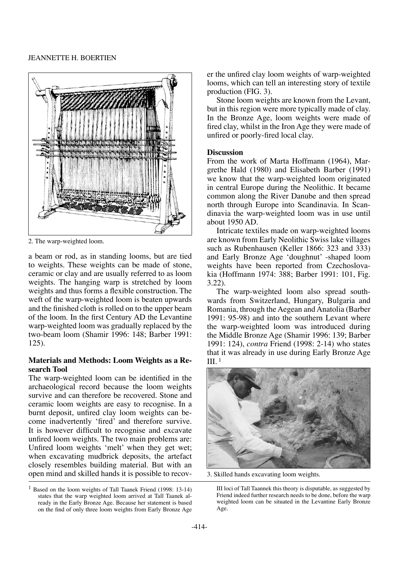

2. The warp-weighted loom.

a beam or rod, as in standing looms, but are tied to weights. These weights can be made of stone, ceramic or clay and are usually referred to as loom weights. The hanging warp is stretched by loom weights and thus forms a flexible construction. The weft of the warp-weighted loom is beaten upwards and the finished cloth is rolled on to the upper beam of the loom. In the first Century AD the Levantine warp-weighted loom was gradually replaced by the two-beam loom (Shamir 1996: 148; Barber 1991: 125).

## **Materials and Methods: Loom Weights as a Research Tool**

The warp-weighted loom can be identified in the archaeological record because the loom weights survive and can therefore be recovered. Stone and ceramic loom weights are easy to recognise. In a burnt deposit, unfired clay loom weights can become inadvertently 'fired' and therefore survive. It is however difficult to recognise and excavate unfired loom weights. The two main problems are: Unfired loom weights 'melt' when they get wet; when excavating mudbrick deposits, the artefact closely resembles building material. But with an open mind and skilled hands it is possible to recover the unfired clay loom weights of warp-weighted looms, which can tell an interesting story of textile production (FIG. 3).

Stone loom weights are known from the Levant, but in this region were more typically made of clay. In the Bronze Age, loom weights were made of fired clay, whilst in the Iron Age they were made of unfired or poorly-fired local clay.

## **Discussion**

From the work of Marta Hoffmann (1964), Margrethe Hald (1980) and Elisabeth Barber (1991) we know that the warp-weighted loom originated in central Europe during the Neolithic. It became common along the River Danube and then spread north through Europe into Scandinavia. In Scandinavia the warp-weighted loom was in use until about 1950 AD.

Intricate textiles made on warp-weighted looms are known from Early Neolithic Swiss lake villages such as Rubenhausen (Keller 1866: 323 and 333) and Early Bronze Age 'doughnut' -shaped loom weights have been reported from Czechoslovakia (Hoffmann 1974: 388; Barber 1991: 101, Fig. 3.22).

The warp-weighted loom also spread southwards from Switzerland, Hungary, Bulgaria and Romania, through the Aegean and Anatolia (Barber 1991: 95-98) and into the southern Levant where the warp-weighted loom was introduced during the Middle Bronze Age (Shamir 1996: 139; Barber 1991: 124), *contra* Friend (1998: 2-14) who states that it was already in use during Early Bronze Age III. 1



3. Skilled hands excavating loom weights.

<sup>1</sup> Based on the loom weights of Tall Taanek Friend (1998: 13-14) states that the warp weighted loom arrived at Tall Taanek already in the Early Bronze Age. Because her statement is based on the find of only three loom weights from Early Bronze Age

III loci of Tall Taannek this theory is disputable, as suggested by Friend indeed further research needs to be done, before the warp weighted loom can be situated in the Levantine Early Bronze Age.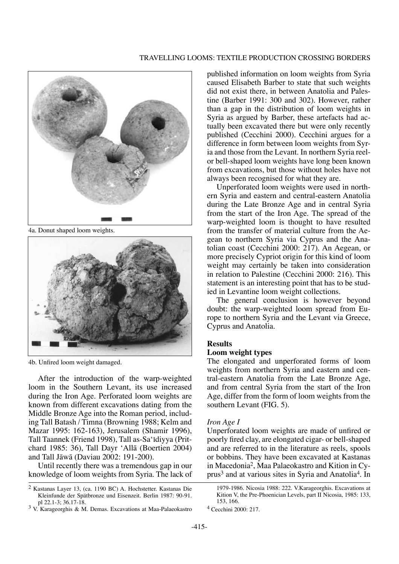

4a. Donut shaped loom weights.



4b. Unfired loom weight damaged.

After the introduction of the warp-weighted loom in the Southern Levant, its use increased during the Iron Age. Perforated loom weights are known from different excavations dating from the Middle Bronze Age into the Roman period, including Tall Batash / Timna (Browning 1988; Kelm and Mazar 1995: 162-163), Jerusalem (Shamir 1996), Tall Taannek (Friend 1998), Tall as-Sa'idiyya (Pritchard 1985: 36), Tall Dayr 'Allå (Boertien 2004) and Tall Jåwå (Daviau 2002: 191-200).

Until recently there was a tremendous gap in our knowledge of loom weights from Syria. The lack of

 $3$  V. Karageorghis & M. Demas. Excavations at Maa-Palaeokastro

published information on loom weights from Syria caused Elisabeth Barber to state that such weights did not exist there, in between Anatolia and Palestine (Barber 1991: 300 and 302). However, rather than a gap in the distribution of loom weights in Syria as argued by Barber, these artefacts had actually been excavated there but were only recently published (Cecchini 2000). Cecchini argues for a difference in form between loom weights from Syria and those from the Levant. In northern Syria reelor bell-shaped loom weights have long been known from excavations, but those without holes have not always been recognised for what they are.

Unperforated loom weights were used in northern Syria and eastern and central-eastern Anatolia during the Late Bronze Age and in central Syria from the start of the Iron Age. The spread of the warp-weighted loom is thought to have resulted from the transfer of material culture from the Aegean to northern Syria via Cyprus and the Anatolian coast (Cecchini 2000: 217). An Aegean, or more precisely Cypriot origin for this kind of loom weight may certainly be taken into consideration in relation to Palestine (Cecchini 2000: 216). This statement is an interesting point that has to be studied in Levantine loom weight collections.

The general conclusion is however beyond doubt: the warp-weighted loom spread from Europe to northern Syria and the Levant via Greece, Cyprus and Anatolia.

## **Results**

#### **Loom weight types**

The elongated and unperforated forms of loom weights from northern Syria and eastern and central-eastern Anatolia from the Late Bronze Age, and from central Syria from the start of the Iron Age, differ from the form of loom weights from the southern Levant (FIG. 5).

#### *Iron Age I*

Unperforated loom weights are made of unfired or poorly fired clay, are elongated cigar- or bell-shaped and are referred to in the literature as reels, spools or bobbins. They have been excavated at Kastanas in Macedonia2, Maa Palaeokastro and Kition in Cyprus3 and at various sites in Syria and Anatolia4. In

<sup>2</sup> Kastanas Layer 13, (ca. 1190 BC) A. Hochstetter. Kastanas Die Kleinfunde der Spätbronze und Eisenzeit. Berlin 1987: 90-91.<br>pl 22.1-3: 36.17-18.

<sup>1979-1986.</sup> Nicosia 1988: 222. V.Karageorghis. Excavations at Kition V, the Pre-Phoenician Levels, part II Nicosia, 1985: 133, 153, 166.

<sup>4</sup> Cecchini 2000: 217.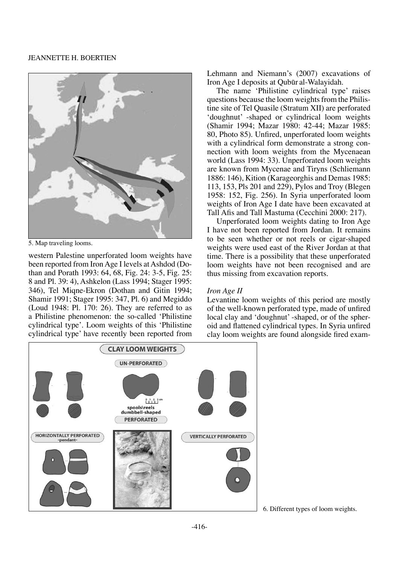#### Jeannette H. Boertien



5. Map traveling looms.

western Palestine unperforated loom weights have been reported from Iron Age I levels at Ashdod (Dothan and Porath 1993: 64, 68, Fig. 24: 3-5, Fig. 25: 8 and Pl. 39: 4), Ashkelon (Lass 1994; Stager 1995: 346), Tel Miqne-Ekron (Dothan and Gitin 1994; Shamir 1991; Stager 1995: 347, Pl. 6) and Megiddo (Loud 1948: Pl. 170: 26). They are referred to as a Philistine phenomenon: the so-called 'Philistine cylindrical type'*.* Loom weights of this 'Philistine cylindrical type' have recently been reported from Lehmann and Niemann's (2007) excavations of Iron Age I deposits at Qubør al-Walayidah.

The name 'Philistine cylindrical type' raises questions because the loom weights from the Philistine site of Tel Quasile (Stratum XII) are perforated 'doughnut' -shaped or cylindrical loom weights (Shamir 1994; Mazar 1980: 42-44; Mazar 1985: 80, Photo 85). Unfired, unperforated loom weights with a cylindrical form demonstrate a strong connection with loom weights from the Mycenaean world (Lass 1994: 33). Unperforated loom weights are known from Mycenae and Tiryns (Schliemann 1886: 146), Kition (Karageorghis and Demas 1985: 113, 153, Pls 201 and 229), Pylos and Troy (Blegen 1958: 152, Fig. 256). In Syria unperforated loom weights of Iron Age I date have been excavated at Tall Afis and Tall Mastuma (Cecchini 2000: 217).

Unperforated loom weights dating to Iron Age I have not been reported from Jordan. It remains to be seen whether or not reels or cigar-shaped weights were used east of the River Jordan at that time. There is a possibility that these unperforated loom weights have not been recognised and are thus missing from excavation reports.

## *Iron Age II*

Levantine loom weights of this period are mostly of the well-known perforated type, made of unfired local clay and 'doughnut' -shaped, or of the spheroid and flattened cylindrical types. In Syria unfired clay loom weights are found alongside fired exam-



6. Different types of loom weights.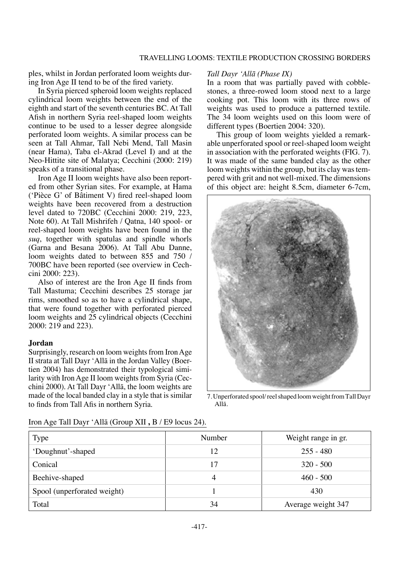ples, whilst in Jordan perforated loom weights during Iron Age II tend to be of the fired variety.

In Syria pierced spheroid loom weights replaced cylindrical loom weights between the end of the eighth and start of the seventh centuries BC. At Tall Afish in northern Syria reel-shaped loom weights continue to be used to a lesser degree alongside perforated loom weights. A similar process can be seen at Tall Ahmar, Tall Nebi Mend, Tall Masin (near Hama), Taba el-Akrad (Level I) and at the Neo-Hittite site of Malatya; Cecchini (2000: 219) speaks of a transitional phase.

Iron Age II loom weights have also been reported from other Syrian sites. For example, at Hama ('Pièce G' of Bâtiment V) fired reel-shaped loom weights have been recovered from a destruction level dated to 720BC (Cecchini 2000: 219, 223, Note 60). At Tall Mishrifeh / Qatna, 140 spool- or reel-shaped loom weights have been found in the *suq*, together with spatulas and spindle whorls (Garna and Besana 2006). At Tall Abu Danne, loom weights dated to between 855 and 750 / 700BC have been reported (see overview in Cechcini 2000: 223).

Also of interest are the Iron Age II finds from Tall Mastuma; Cecchini describes 25 storage jar rims, smoothed so as to have a cylindrical shape, that were found together with perforated pierced loom weights and 25 cylindrical objects (Cecchini 2000: 219 and 223).

## **Jordan**

Surprisingly, research on loom weights from Iron Age II strata at Tall Dayr 'Allå in the Jordan Valley (Boertien 2004) has demonstrated their typological similarity with Iron Age II loom weights from Syria (Cecchini 2000). At Tall Dayr 'Allå, the loom weights are made of the local banded clay in a style that is similar to finds from Tall Afis in northern Syria.

#### *Tall Dayr 'Allå (Phase IX)*

In a room that was partially paved with cobblestones, a three-rowed loom stood next to a large cooking pot. This loom with its three rows of weights was used to produce a patterned textile. The 34 loom weights used on this loom were of different types (Boertien 2004: 320).

This group of loom weights yielded a remarkable unperforated spool or reel-shaped loom weight in association with the perforated weights (FIG. 7). It was made of the same banded clay as the other loom weights within the group, but its clay was tempered with grit and not well-mixed. The dimensions of this object are: height 8.5cm, diameter 6-7cm,



7. Unperforated spool/ reel shaped loom weight from Tall Dayr Allå.

| Iron Age Tall Dayr 'Allā (Group XII, B / E9 locus 24). |  |  |  |  |  |  |  |  |
|--------------------------------------------------------|--|--|--|--|--|--|--|--|
|--------------------------------------------------------|--|--|--|--|--|--|--|--|

| <b>Type</b>                 | Number | Weight range in gr. |
|-----------------------------|--------|---------------------|
| 'Doughnut'-shaped           | 12     | $255 - 480$         |
| Conical                     | 17     | $320 - 500$         |
| Beehive-shaped              | 4      | $460 - 500$         |
| Spool (unperforated weight) |        | 430                 |
| Total                       | 34     | Average weight 347  |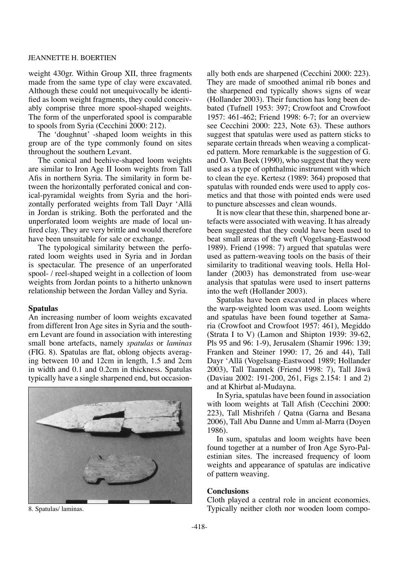#### JEANNETTE H. BOERTIEN

weight 430gr. Within Group XII, three fragments made from the same type of clay were excavated. Although these could not unequivocally be identified as loom weight fragments, they could conceivably comprise three more spool-shaped weights. The form of the unperforated spool is comparable to spools from Syria (Cecchini 2000: 212).

The 'doughnut' -shaped loom weights in this group are of the type commonly found on sites throughout the southern Levant.

The conical and beehive-shaped loom weights are similar to Iron Age II loom weights from Tall Afis in northern Syria. The similarity in form between the horizontally perforated conical and conical-pyramidal weights from Syria and the horizontally perforated weights from Tall Dayr 'Allå in Jordan is striking. Both the perforated and the unperforated loom weights are made of local unfired clay. They are very brittle and would therefore have been unsuitable for sale or exchange.

The typological similarity between the perforated loom weights used in Syria and in Jordan is spectacular. The presence of an unperforated spool- / reel-shaped weight in a collection of loom weights from Jordan points to a hitherto unknown relationship between the Jordan Valley and Syria.

## **Spatulas**

An increasing number of loom weights excavated from different Iron Age sites in Syria and the southern Levant are found in association with interesting small bone artefacts, namely *spatulas* or *laminas*  (FIG. 8). Spatulas are flat, oblong objects averaging between 10 and 12cm in length, 1.5 and 2cm in width and 0.1 and 0.2cm in thickness. Spatulas typically have a single sharpened end, but occasion-



ally both ends are sharpened (Cecchini 2000: 223). They are made of smoothed animal rib bones and the sharpened end typically shows signs of wear (Hollander 2003). Their function has long been debated (Tufnell 1953: 397; Crowfoot and Crowfoot 1957: 461-462; Friend 1998: 6-7; for an overview see Cecchini 2000: 223, Note 63). These authors suggest that spatulas were used as pattern sticks to separate certain threads when weaving a complicated pattern. More remarkable is the suggestion of G. and O. Van Beek (1990), who suggest that they were used as a type of ophthalmic instrument with which to clean the eye. Kertesz (1989: 364) proposed that spatulas with rounded ends were used to apply cosmetics and that those with pointed ends were used to puncture abscesses and clean wounds.

It is now clear that these thin, sharpened bone artefacts were associated with weaving. It has already been suggested that they could have been used to beat small areas of the weft (Vogelsang-Eastwood 1989). Friend (1998: 7) argued that spatulas were used as pattern-weaving tools on the basis of their similarity to traditional weaving tools. Hella Hollander (2003) has demonstrated from use-wear analysis that spatulas were used to insert patterns into the weft (Hollander 2003).

Spatulas have been excavated in places where the warp-weighted loom was used. Loom weights and spatulas have been found together at Samaria (Crowfoot and Crowfoot 1957: 461), Megiddo (Strata I to V) (Lamon and Shipton 1939: 39-62, Pls 95 and 96: 1-9), Jerusalem (Shamir 1996: 139; Franken and Steiner 1990: 17, 26 and 44), Tall Dayr 'Allå (Vogelsang-Eastwood 1989; Hollander 2003), Tall Taannek (Friend 1998: 7), Tall Jåwå (Daviau 2002: 191-200, 261, Figs 2.154: 1 and 2) and at Khirbat al-Mudayna.

In Syria, spatulas have been found in association with loom weights at Tall Afish (Cecchini 2000: 223), Tall Mishrifeh / Qatna (Garna and Besana 2006), Tall Abu Danne and Umm al-Marra (Doyen 1986).

In sum, spatulas and loom weights have been found together at a number of Iron Age Syro-Palestinian sites. The increased frequency of loom weights and appearance of spatulas are indicative of pattern weaving.

#### **Conclusions**

Cloth played a central role in ancient economies. 8. Spatulas/ laminas. Typically neither cloth nor wooden loom compo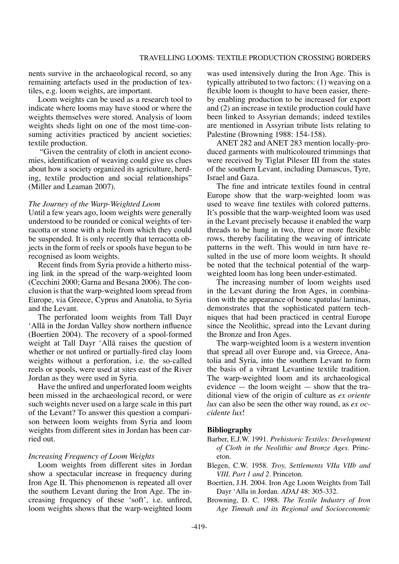nents survive in the archaeological record, so any remaining artefacts used in the production of textiles, e.g. loom weights, are important.

Loom weights can be used as a research tool to indicate where looms may have stood or where the weights themselves were stored. Analysis of loom weights sheds light on one of the most time-consuming activities practiced by ancient societies: textile production.

 "Given the centrality of cloth in ancient economies, identification of weaving could give us clues about how a society organized its agriculture, herding, textile production and social relationships" (Miller and Leaman 2007).

#### *The Journey of the Warp-Weighted Loom*

Until a few years ago, loom weights were generally understood to be rounded or conical weights of terracotta or stone with a hole from which they could be suspended. It is only recently that terracotta objects in the form of reels or spools have begun to be recognised as loom weights.

Recent finds from Syria provide a hitherto missing link in the spread of the warp-weighted loom (Cecchini 2000; Garna and Besana 2006). The conclusion is that the warp-weighted loom spread from Europe, via Greece, Cyprus and Anatolia, to Syria and the Levant.

The perforated loom weights from Tall Dayr 'Allå in the Jordan Valley show northern influence (Boertien 2004). The recovery of a spool-formed weight at Tall Dayr 'Allå raises the question of whether or not unfired or partially-fired clay loom weights without a perforation, i.e. the so-called reels or spools, were used at sites east of the River Jordan as they were used in Syria.

Have the unfired and unperforated loom weights been missed in the archaeological record, or were such weights never used on a large scale in this part of the Levant? To answer this question a comparison between loom weights from Syria and loom weights from different sites in Jordan has been carried out.

#### *Increasing Frequency of Loom Weights*

Loom weights from different sites in Jordan show a spectacular increase in frequency during Iron Age II. This phenomenon is repeated all over the southern Levant during the Iron Age. The increasing frequency of these 'soft', i.e. unfired, loom weights shows that the warp-weighted loom

was used intensively during the Iron Age. This is typically attributed to two factors: (1) weaving on a flexible loom is thought to have been easier, thereby enabling production to be increased for export and (2) an increase in textile production could have been linked to Assyrian demands; indeed textiles are mentioned in Assyrian tribute lists relating to Palestine (Browning 1988: 154-158).

ANET 282 and ANET 283 mention locally-produced garments with multicoloured trimmings that were received by Tiglat Pileser III from the states of the southern Levant, including Damascus, Tyre, Israel and Gaza.

The fine and intricate textiles found in central Europe show that the warp-weighted loom was used to weave fine textiles with colored patterns. It's possible that the warp-weighted loom was used in the Levant precisely because it enabled the warp threads to be hung in two, three or more flexible rows, thereby facilitating the weaving of intricate patterns in the weft. This would in turn have resulted in the use of more loom weights. It should be noted that the technical potential of the warpweighted loom has long been under-estimated.

The increasing number of loom weights used in the Levant during the Iron Ages, in combination with the appearance of bone spatulas/ laminas, demonstrates that the sophisticated pattern techniques that had been practiced in central Europe since the Neolithic, spread into the Levant during the Bronze and Iron Ages.

The warp-weighted loom is a western invention that spread all over Europe and, via Greece, Anatolia and Syria, into the southern Levant to form the basis of a vibrant Levantine textile tradition. The warp-weighted loom and its archaeological evidence — the loom weight — show that the traditional view of the origin of culture as *ex oriente lux* can also be seen the other way round, as *ex occidente lux*!

## **Bibliography**

- Barber, E.J.W. 1991. *Prehistoric Textiles: Development of Cloth in the Neolithic and Bronze Ages.* Princeton.
- Blegen, C.W. 1958. *Troy, Settlements VIIa VIIb and VIII, Part 1 and 2*. Princeton.
- Boertien, J.H. 2004. Iron Age Loom Weights from Tall Dayr 'Alla in Jordan. *ADAJ* 48: 305-332.
- Browning, D. C. 1988. *The Textile Industry of Iron Age Timnah and its Regional and Socioeconomic*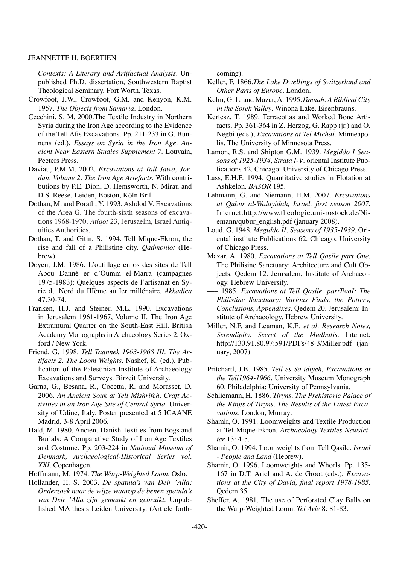#### JEANNETTE H. BOERTIEN

*Contexts: A Literary and Artifactual Analysis.* Unpublished Ph.D. dissertation, Southwestern Baptist Theological Seminary, Fort Worth, Texas.

- Crowfoot, J.W., Crowfoot, G.M. and Kenyon, K.M. 1957. *The Objects from Samaria*. London.
- Cecchini, S. M. 2000.The Textile Industry in Northern Syria during the Iron Age according to the Evidence of the Tell Afis Excavations. Pp. 211-233 in G. Bunnens (ed.), *Essays on Syria in the Iron Age. Ancient Near Eastern Studies Supplement 7*. Louvain, Peeters Press.
- Daviau, P.M.M. 2002. *Excavations at Tall Jawa, Jordan. Volume 2. The Iron Age Artefacts.* With contributions by P.E. Dion, D. Hemsworth, N. Mirau and D.S. Reese. Leiden, Boston, Köln Brill.
- Dothan, M. and Porath, Y. 1993. Ashdod V. Excavations of the Area G. The fourth-sixth seasons of excavations 1968-1970. *Atiqot* 23, Jerusaelm, Israel Antiquities Authorities.
- Dothan, T. and Gitin, S. 1994. Tell Miqne-Ekron; the rise and fall of a Philistine city. *Qadmoniot* (Hebrew).
- Doyen, J.M. 1986. L'outillage en os des sites de Tell Abou Danné er d'Oumm el-Marra (campagnes 1975-1983): Quelques aspects de l'artisanat en Syrie du Nord du IIIème au Ier millénaire. *Akkadica* 47:30-74.
- Franken, H.J. and Steiner, M.L. 1990. Excavations in Jerusalem 1961-1967, Volume II. The Iron Age Extramural Quarter on the South-East Hill**.** British Academy Monographs in Archaeology Series 2. Oxford / New York.
- Friend, G. 1998. *Tell Taannek 1963-1968 III. The Artifacts 2. The Loom Weights*. Nashef, K. (ed.), Publication of the Palestinian Institute of Archaeology Excavations and Surveys. Birzeit University.
- Garna, G., Besana, R., Cocetta, R. and Morasset, D. 2006. *An Ancient Souk at Tell Mishrifeh. Craft Activities in an Iron Age Site of Central Syria.* University of Udine, Italy. Poster presented at 5 ICAANE Madrid, 3-8 April 2006.
- Hald, M. 1980. Ancient Danish Textiles from Bogs and Burials: A Comparative Study of Iron Age Textiles and Costume. Pp. 203-224 in *National Museum of Denmark, Archaeological-Historical Series vol. XXI.* Copenhagen.

Hoffmann, M. 1974. *The Warp-Weighted Loom*. Oslo.

Hollander, H. S. 2003. *De spatula's van Deir 'Alla; Onderzoek naar de wijze waarop de benen spatula's van Deir 'Alla zijn gemaakt en gebruikt.* Unpublished MA thesis Leiden University. (Article forthcoming).

- Keller, F. 1866.*The Lake Dwellings of Switzerland and Other Parts of Europe*. London.
- Kelm, G. L. and Mazar, A. 1995.*Timnah. A Biblical City in the Sorek Valley*. Winona Lake. Eisenbrauns.
- Kertesz, T. 1989. Terracottas and Worked Bone Artifacts. Pp. 361-364 in Z. Herzog, G. Rapp (jr.) and O. Negbi (eds.), *Excavations at Tel Michal.* Minneapolis, The University of Minnesota Press.
- Lamon, R.S. and Shipton G.M. 1939. *Megiddo I Seasons of 1925-1934, Strata I-V*. oriental Institute Publications 42. Chicago: University of Chicago Press.
- Lass, E.H.E. 1994. Quantitative studies in Flotation at Ashkelon. *BASOR* 195.
- Lehmann, G. and Niemann, H.M. 2007. *Excavations at Qubur al-Walayidah, Israel, first season 2007*. Internet:http://www.theologie.uni-rostock.de/Niemann/qubur\_english.pdf (january 2008).
- Loud, G. 1948. *Megiddo II, Seasons of 1935-1939*. Oriental institute Publications 62. Chicago: University of Chicago Press.
- Mazar, A. 1980. *Excavations at Tell Qasile part One.* The Philisine Sanctuary: Architecture and Cult Objects. Qedem 12. Jerusalem, Institute of Archaeology. Hebrew University.
- ––– 1985. *Excavations at Tell Qasile, partTwoI: The Philistine Sanctuary: Various Finds, the Pottery, Conclusions, Appendixes*. Qedem 20. Jerusalem: Institute of Archaeology. Hebrew University.
- Miller, N.F. and Leaman, K.E. *et al. Research Notes, Serendipity. Secret of the Mudballs.* Internet: http://130.91.80.97:591/PDFs/48-3/Miller.pdf (january, 2007)
- Pritchard, J.B. 1985. *Tell es-Sa'idiyeh, Excavations at the Tell1964-1966.* University Museum Monograph 60. Philadelphia: University of Pennsylvania.
- Schliemann, H. 1886. *Tiryns. The Prehistoric Palace of the Kings of Tiryns. The Results of the Latest Excavations.* London, Murray*.*
- Shamir, O. 1991. Loomweights and Textile Production at Tel Miqne-Ekron*. Archaeology Textiles Newsletter* 13: 4-5.
- Shamir, O. 1994. Loomweights from Tell Qasile. *Israel - People and Land* (Hebrew).
- Shamir, O. 1996. Loomweights and Whorls. Pp. 135- 167 in D.T. Ariel and A. de Groot (eds.), *Excavations at the City of David, final report 1978-1985.*  Qedem 35.
- Sheffer, A. 1981. The use of Perforated Clay Balls on the Warp-Weighted Loom. *Tel Aviv* 8: 81-83.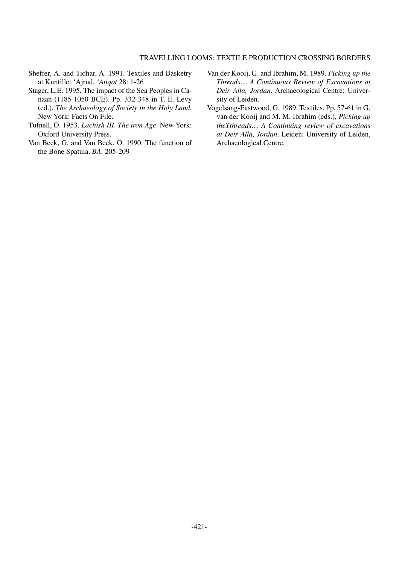#### Travelling Looms: Textile Production Crossing Borders

- Sheffer, A. and Tidhar, A. 1991. Textiles and Basketry at Kuntillet 'Ajrud. *'Atiqot* 28: 1-26
- Stager, L.E. 1995. The impact of the Sea Peoples in Canaan (1185-1050 BCE). Pp. 332-348 in T. E. Levy (ed.), *The Archaeology of Society in the Holy Land*. New York: Facts On File.
- Tufnell, O. 1953. *Lachish III. The iron Age*. New York: Oxford University Press.
- Van Beek, G. and Van Beek, O. 1990. The function of the Bone Spatula. *BA*: 205-209
- Van der Kooij, G. and Ibrahim, M. 1989. *Picking up the Threads… A Continuous Review of Excavations at Deir Alla, Jordan.* Archaeological Centre: University of Leiden.
- Vogelsang-Eastwood, G. 1989. Textiles. Pp. 57-61 in G. van der Kooij and M. M. Ibrahim (eds.), *Picking up theTthreads… A Continuing review of excavations at Deir Alla, Jordan.* Leiden: University of Leiden, Archaeological Centre.